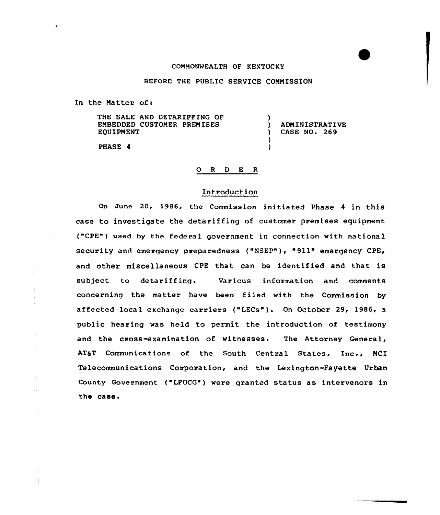### COMMONWEALTH OF KENTUCKY

BEFORE THE PUBLIC SERVICE COMMISSION

In the Matter of:

THE SALE AND DETARIFFING OF EMBEDDED CUSTONER PREMISES EOUIPNENT

) ADMINISTRATIVE<br>
) CASE NO. 269 CASE NO. 269

)

) )

PHASE 4

#### 0 R <sup>D</sup> E <sup>R</sup>

# Introduction

On June 20, 1986, the Commission initiated Phase <sup>4</sup> in this case to investigate the detariffing of customer premises equipment ("CPE") used by the federal government in connection with national security and emergency preparedness ("NSEP"), "911" emergency CPE, and other miscellaneous CPE that can be identified and that is subject to detariffing. Various information and comments concerning the matter have been filed with the Commission by affected local exchange carriers ("LECs"). On October 29, 1986, a public hearing was held to permit the introduction of testimony and the cross-examination of witnesses. The Attorney General, AT&T Communications of the South Central States, Inc., MCI Telecommunications Corporation, and the Lexington-Fayette Urban County Government {"LFUCG") vere granted status as intervenors in the case.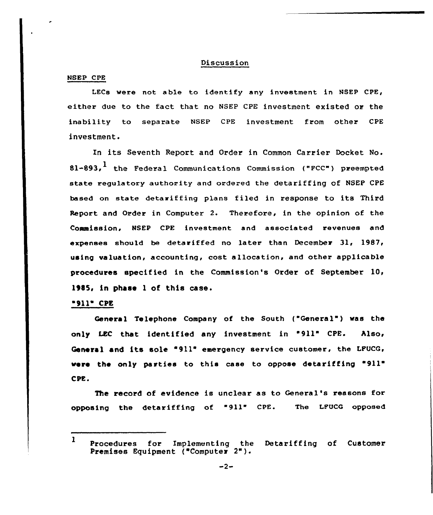# Discussion

## NSEP CPE

LECs were not able to identify any investment in NSEP CPE, either due to the fact that no NSEP CPE investment existed or the inability to separate NSEP CPE investment from other CPE investment.

In its Seventh Report and Order in Common Carrier Docket No. 81-893.<sup>1</sup> the Federal Communications Commission ("FCC") preempted state regulatory authority and ordered the detariffing of NSEP CPE based on state detariffing plans filed in response to its Third Report and Order in Computer 2. Therefore, in the opinion of the Commission, NSEP CPE investment and associated revenues and expenses should be detariffed no later than December 31, 1987, using valuation, accounting, cost allocation, and other applicable procedures specified in the Commission's Order of September 10, 1985, in phase 1 of this case.

### ~911~ CPE

General Telephone Company of the South ("General") was the only LEC that identified any investment in "911" CPE. Also, General and its sole "911" emergency service customer, the LPUCG, were the only parties to this case to oppose detariffing "911" CPE.

The record of evidence is unclear as to General 's reasons for opposing the detariffing of "911" CPE. The LFUCG opposed

<sup>1</sup> Procedures for Implementing the Detariffing of Customer Premises Equipment ("Computer 2").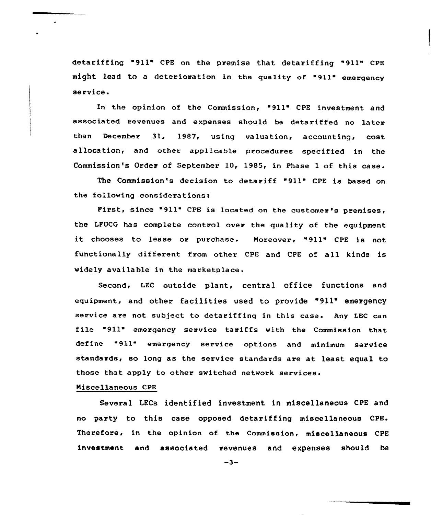detariffing 911" CPE on the premise that detariffing "911" CPE might lead to <sup>a</sup> deterioration in the quality of "911" emergency service.

In the opinion of the Commission, "911" CPE investment and associated revenues and expenses should be detariffed no later than December 31, 1987, using valuation, accounting, cost allocation, and other applicable procedures specified in the Commission's Order of September 10, 1985, in Phase 1 of this case.

The Commission's decision to detariff "911" CPE is based on the following considerations:

First, since "911" CPE is located on the customer's premises, the LFOCG has complete control over the quality of the equipment it chooses to lease or purchase. Noreover, "911" CPE is not functionally different from other CPE and CPE of all kinds is widely available in the marketplace.

Second, LEC outside plant, central office functions and equipment, and other facilities used to provide "911" emergency service are not subject to detariffing in this case. Any LEC can file "911" emergency service tariffs with the Commission that define "911" emergency service options and minimum service standards, so long as the service standards are at least equal to those that apply to other switched network services.

#### Niscellaneous CPE

Several LECs identified investment in miscellaneous CPE and no party to this case opposed detariffing miscellaneous CPE. Therefore, in the opinion of the Commission< miscellaneous CPE investment and associated revenues and expenses should be

 $-3-$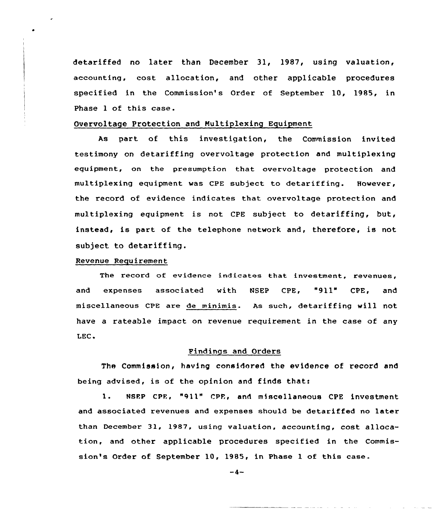detariffed no later than December 31, 1987, using valuation, accounting, cost allocation, and other applicable procedures specified in the Commission's Order of September 10, 1985, in Phase <sup>1</sup> of this case.

### Overvoltage Protection and Nultiplexing Equipment

As part of this investigation, the Commission invited testimony on detariffing overvoltage protection and multiplexing equipment, on the presumption that overvoltage protection and multiplexing equipment was CPE subject to detariffing. However, the record of evidence indicates that overvoltage protection and multiplexing equipment is not CPE subject to detariffing, but, instead, is part of the telephone network and, therefore, is not subject to detariffing.

## Revenue Requirement

The record of evidence indicates that investment, revenues, and expenses associated with NSEP CPE, "911" CPE, and miscellaneous CPE are de minimis. As such, detariffing will not have a rateable impact on revenue requirement in the case of any LEC.

## Findings and Orders

The Commission, having considered the evidence of record and being advised, is of the opinion and finds that:

1. NSEP CPE, "911" CPE, and miscellaneous CPE investment and associated revenues and expenses should be detariffed no later than December 31, l987, using valuation, accounting, cost allocation, and other applicable procedures specified in the Commission's Order of September 10, 1985, in Phase <sup>1</sup> of this case.

$$
-4-
$$